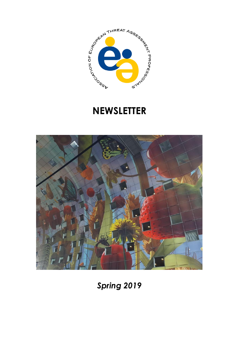

# **NEWSLETTER**



*Spring 2019*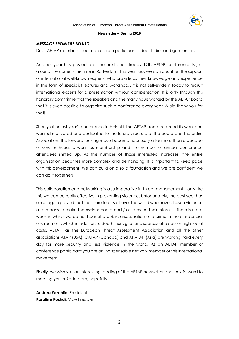

#### **MESSAGE FROM THE BOARD**

Dear AETAP members, dear conference participants, dear ladies and gentlemen,

Another year has passed and the next and already 12th AETAP conference is just around the corner - this time in Rotterdam. This year too, we can count on the support of international well-known experts, who provide us their knowledge and experience in the form of specialist lectures and workshops. It is not self-evident today to recruit international experts for a presentation without compensation. It is only through this honorary commitment of the speakers and the many hours worked by the AETAP Board that it is even possible to organize such a conference every year. A big thank you for that!

Shortly after last year's conference in Helsinki, the AETAP board resumed its work and worked motivated and dedicated to the future structure of the board and the entire Association. This forward-looking move became necessary after more than a decade of very enthusiastic work, as membership and the number of annual conference attendees shifted up. As the number of those interested increases, the entire organization becomes more complex and demanding. It is important to keep pace with this development. We can build on a solid foundation and we are confident we can do it together!

This collaboration and networking is also imperative in threat management - only like this we can be really effective in preventing violence. Unfortunately, the past year has once again proved that there are forces all over the world who have chosen violence as a means to make themselves heard and / or to assert their interests. There is not a week in which we do not hear of a public assassination or a crime in the close social environment, which in addition to death, hurt, grief and sadness also causes high social costs. AETAP, as the European Threat Assessment Association and all the other associations ATAP (USA), CATAP (Canada) and APATAP (Asia) are working hard every day for more security and less violence in the world. As an AETAP member or conference participant you are an indispensable network member of this international movement.

Finally, we wish you an interesting reading of the AETAP newsletter and look forward to meeting you in Rotterdam, hopefully.

**Andrea Wechlin**, President **Karoline Roshdi**, Vice President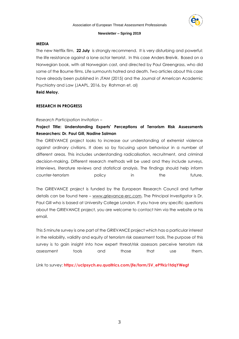

## **MEDIA**

The new Netflix film, **22 July** is strongly recommend. It is very disturbing and powerful: the life resistance against a lone actor terrorist. In this case Anders Breivik. Based on a Norwegian book, with all Norwegian cast, and directed by Paul Greengrass, who did some of the Bourne films. Life surmounts hatred and death. Two articles about this case have already been published in JTAM (2015) and the Journal of American Academic Psychiatry and Law (JAAPL, 2016, by Rahman et. al)

**Reid Meloy.**

# **RESEARCH IN PROGRESS**

# *Research Participation Invitation –*

# **Project Title: Understanding Experts' Perceptions of Terrorism Risk Assessments Researchers: Dr. Paul Gill, Nadine Salman**

The GRIEVANCE project looks to increase our understanding of extremist violence against ordinary civilians. It does so by focusing upon behaviour in a number of different areas. This includes understanding radicalisation, recruitment, and criminal decision-making. Different research methods will be used and they include surveys, interviews, literature reviews and statistical analysis. The findings should help inform counter-terrorism policy in the future.

The GRIEVANCE project is funded by the European Research Council and further details can be found here – [www.grievance-erc.com.](http://www.grievance-erc.com/) The Principal Investigator is Dr. Paul Gill who is based at University College London. If you have any specific questions about the GRIEVANCE project, you are welcome to contact him via the website or his email.

This 5 minute survey is one part of the GRIEVANCE project which has a particular interest in the reliability, validity and equity of terrorism risk assessment tools. The purpose of this survey is to gain insight into how expert threat/risk assessors perceive terrorism risk assessment tools and those that use them.

Link to survey: **[https://uclpsych.eu.qualtrics.com/jfe/form/SV\\_eP9kLr1tdqYWegt](https://apatap.us9.list-manage.com/track/click?u=f7c3385bc38ea767aad4d1098&id=80744a06d1&e=bb47df3e1d)**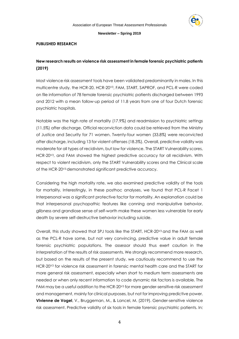

#### **PUBLISHED RESEARCH**

# **New research results on violence risk assessment in female forensic psychiatric patients (2019)**

Most violence risk assessment tools have been validated predominantly in males. In this multicentre study, the HCR-20, HCR-20V3, FAM, START, SAPROF, and PCL-R were coded on file information of 78 female forensic psychiatric patients discharged between 1993 and 2012 with a mean follow-up period of 11.8 years from one of four Dutch forensic psychiatric hospitals.

Notable was the high rate of mortality (17.9%) and readmission to psychiatric settings (11.5%) after discharge. Official reconviction data could be retrieved from the Ministry of Justice and Security for 71 women. Twenty-four women (33.8%) were reconvicted after discharge, including 13 for violent offenses (18.3%). Overall, predictive validity was moderate for all types of recidivism, but low for violence. The START Vulnerability scores, HCR-20<sup>v3</sup>, and FAM showed the highest predictive accuracy for all recidivism. With respect to violent recidivism, only the START Vulnerability scores and the Clinical scale of the HCR-20V3 demonstrated significant predictive accuracy.

Considering the high mortality rate, we also examined predictive validity of the tools for mortality. Interestingly, in these posthoc analyses, we found that PCL-R Facet 1 Interpersonal was a significant protective factor for mortality. An explanation could be that interpersonal psychopathic features like conning and manipulative behavior, glibness and grandiose sense of self-worth make these women less vulnerable for early death by severe self-destructive behavior including suicide.

Overall, this study showed that SPJ tools like the START, HCR-20V3 and the FAM as well as the PCL-R have some, but not very convincing, predictive value in adult female forensic psychiatric populations. The assessor should thus exert caution in the interpretation of the results of risk assessments. We strongly recommend more research, but based on the results of the present study, we cautiously recommend to use the HCR-20<sup>v3</sup> for violence risk assessment in forensic mental health care and the START for more general risk assessment, especially when short to medium term assessments are needed or when only recent information to code dynamic risk factors is available. The FAM may be a useful addition to the HCR-20<sup>v3</sup> for more gender-sensitive risk assessment and management, mainly for clinical purposes, but not for improving predictive power. **Vivienne de Vogel**, V., Bruggeman, M., & Lancel, M. (2019). Gender-sensitive violence risk assessment. Predictive validity of six tools in female forensic psychiatric patients. In: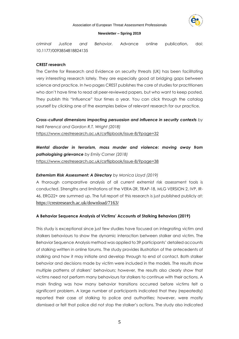

#### Association of European Threat Assessment Professionals

#### **Newsletter – Spring 2019**

c*riminal Justice and Behavior.* Advance online publication, doi: 10.1177/0093854818824135

## **CREST research**

The Centre for Research and Evidence on security threats (UK) has been facilitating very interesting research lately. They are especially good at bridging gaps between science and practice. In two pages CREST publishes the core of studies for practitioners who don't have time to read all peer-reviewed papers, but who want to keep posted. They publish this "Influence" four times a year. You can click through the catalog yourself by clicking one of the examples below of relevant research for our practice.

*Cross-cultural dimensions impacting persuasion and influence in security contexts by Nelli Ferenczi and Gordon R.T. Wright (2018)* <https://www.crestresearch.ac.uk/csrflipbook/issue-8/?page=32>

*Mental disorder in terrorism, mass murder and violence: moving away from pathologising grievance by Emily Corner (2018)* <https://www.crestresearch.ac.uk/csrflipbook/issue-8/?page=38>

# *Extremism Risk Assessment: A Directory by Monica Lloyd (2019)*

A thorough comparative analysis of all current extremist risk assessment tools is conducted. Strengths and limitations of the VERA-2R, TRAP-18, MLG VERSION 2, IVP, IR-46, ERG22+ are summed up. The full report of this research is just published publicly at: <https://crestresearch.ac.uk/download/7163/>

# **A Behavior Sequence Analysis of Victims' Accounts of Stalking Behaviors (2019)**

This study is exceptional since just few studies have focused on integrating victim and stalkers behaviours to show the dynamic interaction between stalker and victim. The Behavior Sequence Analysis method was applied to 39 participants' detailed accounts of stalking written in online forums. The study provides illustration of the antecedents of stalking and how it may initiate and develop through to end of contact. Both stalker behavior and decisions made by victim were included in the models. The results show multiple patterns of stalkers' behaviours; however, the results also clearly show that victims need not perform many behaviours for stalkers to continue with their actions. A main finding was how many behavior transitions occurred before victims felt a significant problem. A large number of participants indicated that they (repeatedly) reported their case of stalking to police and authorities; however, were mostly dismissed or felt that police did not stop the stalker's actions. The study also indicated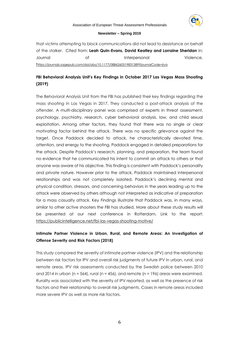

that victims attempting to block communications did not lead to desistance on behalf of the stalker. Cited from: **Leah Quin-Evans, David Keatley and Lorraine Sheridan** In: Journal of Interpersonal Violence. h[ttps://journals.sagepub.com/doi/abs/10.1177/0886260519831389?journalCode=jiva](https://journals.sagepub.com/doi/abs/10.1177/0886260519831389?journalCode=jiva)

# **FBI Behavioral Analysis Unit's Key Findings in October 2017 Las Vegas Mass Shooting (2019)**

The Behavioral Analysis Unit from the FBI has published their key findings regarding the mass shooting in Las Vegas in 2017. They conducted a post-attack analysis of the offender. A multi-disciplinary panel was comprised of experts in threat assessment, psychology, psychiatry, research, cyber behavioral analysis, law, and child sexual exploitation. Among other factors, they found that there was no single or clear motivating factor behind the attack. There was no specific grievance against the target. Once Paddock decided to attack, he characteristically devoted time, attention, and energy to the shooting. Paddock engaged in detailed preparations for the attack. Despite Paddock's research, planning, and preparation, the team found no evidence that he communicated his intent to commit an attack to others or that anyone was aware of his objective. This finding is consistent with Paddock's personality and private nature. However prior to the attack, Paddock maintained interpersonal relationships and was not completely isolated. Paddock's declining mental and physical condition, stressors, and concerning behaviors in the years leading up to the attack were observed by others although not interpreted as indicative of preparation for a mass casualty attack. Key Findings illustrate that Paddock was, in many ways, similar to other active shooters the FBI has studied. More about these study results will be presented at our next conference in Rotterdam. Link to the report: <https://publicintelligence.net/fbi-las-vegas-shooting-motive/>

# **Intimate Partner Violence in Urban, Rural, and Remote Areas: An Investigation of Offense Severity and Risk Factors (2018)**

This study compared the severity of intimate partner violence (IPV) and the relationship between risk factors for IPV and overall risk judgments of future IPV in urban, rural, and remote areas. IPV risk assessments conducted by the Swedish police between 2010 and 2014 in urban (n = 564), rural (n = 456), and remote (n = 196) areas were examined. Rurality was associated with the severity of IPV reported, as well as the presence of risk factors and their relationship to overall risk judgments. Cases in remote areas included more severe IPV as well as more risk factors.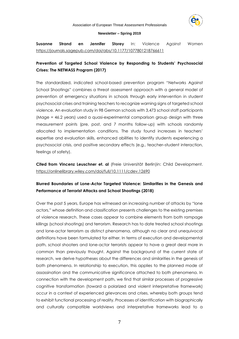

#### Association of European Threat Assessment Professionals

#### **Newsletter – Spring 2019**

**Susanne Strand en Jennifer Storey** In: Violence Against Women <https://journals.sagepub.com/doi/abs/10.1177/1077801218766611>

# **Prevention of Targeted School Violence by Responding to Students' Psychosocial Crises: The NETWASS Program (2017)**

The standardized, indicated school-based prevention program "Networks Against School Shootings" combines a threat assessment approach with a general model of prevention of emergency situations in schools through early intervention in student psychosocial crises and training teachers to recognize warning signs of targeted school violence. An evaluation study in 98 German schools with 3,473 school staff participants (Mage = 46.2 years) used a quasi-experimental comparison group design with three measurement points (pre, post, and 7 months follow-up) with schools randomly allocated to implementation conditions. The study found increases in teachers' expertise and evaluation skills, enhanced abilities to identify students experiencing a psychosocial crisis, and positive secondary effects (e.g., teacher–student interaction, feelings of safety).

**Cited from Vincenz Leuschner et. al** (Freie Universität Berlin)in: Child Development. <https://onlinelibrary.wiley.com/doi/full/10.1111/cdev.12690>

# **[Blurred Boundaries of Lone-Actor Targeted Violence: Similarities in the Genesis and](http://click.liebertpubmail.com/?qs=2bf425888e79ce3f0f8bffea5f3238579379e71b5f1fb9287e8bdbb63b79ee12598273a0d00585e4a3224cc59c13c7f0)  [Performance of Terrorist Attacks and School Shootings](http://click.liebertpubmail.com/?qs=2bf425888e79ce3f0f8bffea5f3238579379e71b5f1fb9287e8bdbb63b79ee12598273a0d00585e4a3224cc59c13c7f0) (2018)**

Over the past 5 years, Europe has witnessed an increasing number of attacks by "lone actors," whose definition and classification presents challenges to the existing premises of violence research. These cases appear to combine elements from both rampage killings (school shootings) and terrorism. Research has to date treated school shootings and lone-actor terrorism as distinct phenomena, although no clear and unequivocal definitions have been formulated for either. In terms of execution and developmental path, school shooters and lone-actor terrorists appear to have a great deal more in common than previously thought. Against the background of the current state of research, we derive hypotheses about the differences and similarities in the genesis of both phenomena. In relationship to execution, this applies to the planned mode of assassination and the communicative significance attached to both phenomena. In connection with the development path, we find that similar processes of progressive cognitive transformation (toward a polarized and violent interpretative framework) occur in a context of experienced grievances and crises, whereby both groups tend to exhibit functional processing of reality. Processes of identification with biographically and culturally compatible worldviews and interpretative frameworks lead to a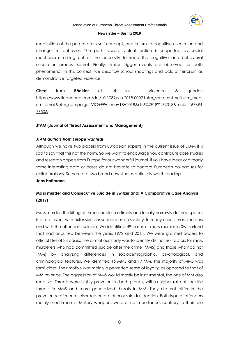

redefinition of the perpetrator's self-concept, and in turn to cognitive escalation and changes in behavior. The path toward violent action is supported by social mechanisms arising out of the necessity to keep this cognitive and behavioral escalation process secret. Finally, similar trigger events are observed for both phenomena. In this context, we describe school shootings and acts of terrorism as demonstrative targeted violence.

**Cited** from **Böckler** et. al In: Violence & gender: [https://www.liebertpub.com/doi/10.1089/vio.2018.0002?utm\\_source=sfmc&utm\\_medi](https://www.liebertpub.com/doi/10.1089/vio.2018.0002?utm_source=sfmc&utm_medium=email&utm_campaign=VIO+FP+June+18+2018&d=6%2F18%2F2018&mcid=1676947750&) [um=email&utm\\_campaign=VIO+FP+June+18+2018&d=6%2F18%2F2018&mcid=167694](https://www.liebertpub.com/doi/10.1089/vio.2018.0002?utm_source=sfmc&utm_medium=email&utm_campaign=VIO+FP+June+18+2018&d=6%2F18%2F2018&mcid=1676947750&) [7750&](https://www.liebertpub.com/doi/10.1089/vio.2018.0002?utm_source=sfmc&utm_medium=email&utm_campaign=VIO+FP+June+18+2018&d=6%2F18%2F2018&mcid=1676947750&)

# **JTAM (Journal of Threat Assessment and Management)**

# *JTAM authors from Europe wanted!*

Although we have two papers from European experts in the current issue of JTAM it is sad to say that this not the norm. So we want to encourage you contribute case studies and research papers from Europe for our wonderful journal. If you have ideas or already some interesting data or cases do not hesitate to contact European colleagues for collaborations. So here are two brand new studies definitely worth reading.

# **Jens Hoffmann.**

# **Mass murder and Consecutive Suicide in Switzerland: A Comparative Case Analysis (2019)**

Mass murder, the killing of three people in a timely and locally narrowly defined space, is a rare event with extensive consequences on society. In many cases, mass murders end with the offender's suicide. We identified 49 cases of mass murder in Switzerland that had occurred between the years 1972 and 2015. We were granted access to official files of 33 cases. The aim of our study was to identify distinct risk factors for mass murderers who had committed suicide after the crime (MMS) and those who had not (MM) by analyzing differences in sociodemographic, psychological, and criminological features. We identified 16 MMS and 17 MM. The majority of MMS was familicides. Their motive was mainly a perverted sense of loyalty, as opposed to that of MM revenge. The aggression of MMS would mostly be instrumental, the one of MM also reactive. Threats were highly prevalent in both groups, with a higher rate of specific threats in MMS and more generalized threats in MM. They did not differ in the prevalence of mental disorders or rate of prior suicidal ideation. Both type of offenders mainly used firearms. Military weapons were of no importance, contrary to their role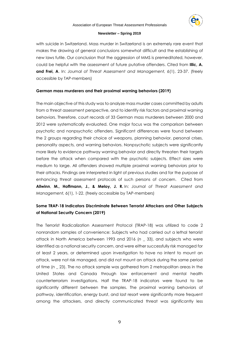

with suicide in Switzerland. Mass murder in Switzerland is an extremely rare event that makes the drawing of general conclusions somewhat difficult and the establishing of new laws futile. Our conclusion that the aggression of MMS is premeditated, however, could be helpful with the assessment of future putative offenders. Cited from **Illic, A. and Frei, A**. In: *Journal of Threat Assessment and Management, 6*(1), 23-37. (freely accessible by TAP-members)

# **German mass [murderers](https://psycnet.apa.org/record/2019-13555-001) and their proximal warning behaviors (2019)**

The main objective of this study was to analyze mass murder cases committed by adults from a threat assessment perspective, and to identify risk factors and proximal warning behaviors. Therefore, court records of 33 German mass murderers between 2000 and 2012 were systematically evaluated. One major focus was the comparison between psychotic and nonpsychotic offenders. Significant differences were found between the 2 groups regarding their choice of weapons, planning behavior, personal crises, personality aspects, and warning behaviors. Nonpsychotic subjects were significantly more likely to evidence pathway warning behavior and directly threaten their targets before the attack when compared with the psychotic subjects. Effect sizes were medium to large. All offenders showed multiple proximal warning behaviors prior to their attacks. Findings are interpreted in light of previous studies and for the purpose of enhancing threat assessment protocols of such persons of concern. Cited from **Allwinn**, **M., Hoffmann, J., & Meloy, J. R.** In: *Journal of Threat Assessment and Management, 6*(1), 1-22. (freely accessible by TAP-members)

# **Some TRAP-18 Indicators Discriminate Between Terrorist Attackers and Other Subjects of National Security Concern (2019)**

The Terrorist Radicalization Assessment Protocol (TRAP-18) was utilized to code 2 nonrandom samples of convenience: Subjects who had carried out a lethal terrorist attack in North America between 1993 and 2016 (*n* \_ 33), and subjects who were identified as a national security concern, and were either successfully risk managed for at least 2 years, or determined upon investigation to have no intent to mount an attack, were not risk managed, and did not mount an attack during the same period of time (*n* \_ 23). The no attack sample was gathered from 2 metropolitan areas in the United States and Canada through law enforcement and mental health counterterrorism investigations. Half the TRAP-18 indicators were found to be significantly different between the samples. The proximal warning behaviors of pathway, identification, energy burst, and last resort were significantly more frequent among the attackers, and directly communicated threat was significantly less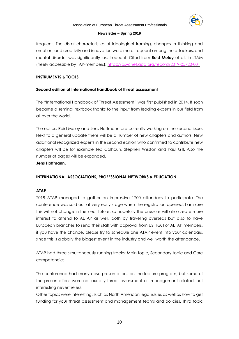

frequent. The distal characteristics of ideological framing, changes in thinking and emotion, and creativity and innovation were more frequent among the attackers, and mental disorder was significantly less frequent. Cited from **Reid Meloy** et all. in JTAM (freely accessible by TAP-members):<https://psycnet.apa.org/record/2019-05720-001>

# **INSTRUMENTS & TOOLS**

# **Second edition of International handbook of threat assessment**

The "International Handbook of Threat Assessment" was first published in 2014. It soon became a seminal textbook thanks to the input from leading experts in our field from all over the world.

The editors Reid Meloy and Jens Hoffmann are currently working on the second issue. Next to a general update there will be a number of new chapters and authors. New additional recognized experts in the second edition who confirmed to contribute new chapters will be for example Ted Calhoun, Stephen Weston and Paul Gill. Also the number of pages will be expanded.

# **Jens Hoffmann.**

# **INTERNATIONAL ASSOCIATIONS, PROFESSIONAL NETWORKS & EDUCATION**

# **ATAP**

2018 ATAP managed to gather an impressive 1200 attendees to participate. The conference was sold out at very early stage when the registration opened. I am sure this will not change in the near future, so hopefully the pressure will also create more interest to attend to AETAP as well, both by traveling overseas but also to have European branches to send their staff with approval from US HQ. For AETAP members, if you have the chance, please try to schedule one ATAP event into your calendars, since this is globally the biggest event in the industry and well worth the attendance.

ATAP had three simultaneously running tracks; Main topic, Secondary topic and Core competencies.

The conference had many case presentations on the lecture program, but some of the presentations were not exactly threat assessment or -management related, but interesting nevertheless.

Other topics were interesting, such as North American legal issues as well as how to get funding for your threat assessment and management teams and policies. Third topic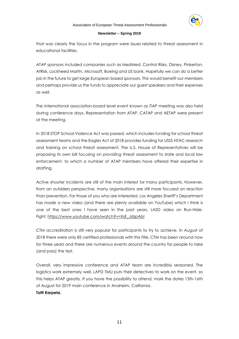

that was clearly the focus in the program were issues related to threat assessment in educational facilities.

ATAP sponsors included companies such as MedMed, Control Risks, Disney, Pinkerton, AtRisk, Lockheed Martin, Microsoft, Boeing and US bank. Hopefully we can do a better job in the future to get large European based sponsors. This would benefit our members and perhaps provide us the funds to appreciate our guest speakers and their expenses as well.

The international association-board level event known as iTAP meeting was also held during conference days. Representation from ATAP, CATAP and AETAP were present at the meeting.

In 2018 STOP School Violence Act was passed, which includes funding for school threat assessment teams and the Eagles Act of 2018 provides funding for USSS NTAC research and training on school threat assessment. The U.S. House of Representatives will be proposing its own bill focusing on providing threat assessment to state and local law enforcement, to which a number of ATAP members have offered their expertise in drafting.

Active shooter incidents are still of the main interest for many participants. However, from an outsiders perspective, many organisations are still more focused on reaction than prevention. For those of you who are interested, Los Angeles Sheriff's Department has made a new video (and there are plenty available on YouTube) which I think is one of the best ones I have seen in the past years. LASD video on Run-Hide-Fight: [https://www.youtube.com/watch?v=XsE\\_JdzpAbI](https://www.youtube.com/watch?v=XsE_JdzpAbI)

CTM accreditation is still very popular for participants to try to achieve. In August of 2018 there were only 85 certified professionals with this title. CTM has been around now for three years and there are numerous events around the country for people to take (and pass) the test.

Overall, very impressive conference and ATAP team are incredibly seasoned. The logistics work extremely well, LAPD TMU puts their detectives to work on the event, so this helps ATAP greatly. If you have the possibility to attend, mark the dates 13th-16th of August for 2019 main conference in Anaheim, California. **Totti Karpela.**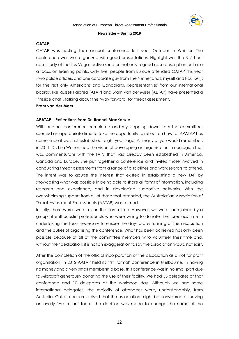

## **CATAP**

CATAP was hosting their annual conference last year October in Whistler. The conference was well organized with good presentations. Highlight was the 3 ,5 hour case study of the Las Vegas active shooter; not only a good case description but also a focus on learning points. Only five people from Europe attended CATAP this year (two police officers and one corporate guy from The Netherlands, myself and Paul Gill); for the rest only Americans and Canadians. Representatives from our international boards, like Russell Palarea (ATAP) and Bram van der Meer (AETAP) have presented a 'fireside chat', talking about the 'way forward' for threat assessment.

**Bram van der Meer.**

#### **APATAP – Reflections from Dr. Rachel MacKenzie**

With another conference completed and my stepping down from the committee, seemed an appropriate time to take the opportunity to reflect on how far APATAP has come since it was first established, eight years ago. As many of you would remember, in 2011, Dr. Lisa Warren had the vision of developing an organisation in our region that was commensurate with the TAPS that had already been established in America, Canada and Europe. She put together a conference and invited those involved in conducting threat assessments from a range of disciplines and work sectors to attend. The intent was to gauge the interest that existed in establishing a new TAP by showcasing what was possible in being able to share all forms of information, including research and experience, and in developing supportive networks. With the overwhelming support from all of those that attended, the Australasian Association of Threat Assessment Professionals (AATAP) was formed.

Initially, there were two of us on the committee. However, we were soon joined by a group of enthusiastic professionals who were willing to donate their precious time in undertaking the tasks necessary to ensure the day-to-day running of the association and the duties of organising the conference. What has been achieved has only been possible because of all of the committee members who volunteer their time and, without their dedication, it is not an exaggeration to say the association would not exist.

After the completion of the official incorporation of the association as a not for profit organisation, in 2012 AATAP held its first 'formal' conference in Melbourne. In having no money and a very small membership base, this conference was in no small part due to Microsoft generously donating the use of their facility. We had 35 delegates at that conference and 10 delegates at the workshop day. Although we had some international delegates, the majority of attendees were, understandably, from Australia. Out of concerns raised that the association might be considered as having an overly 'Australian' focus, the decision was made to change the name of the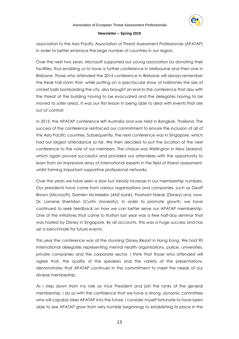

association to the Asia Pacific Association of Threat Assessment Professionals (APATAP) in order to better embrace the large number of countries in our region.

Over the next two years, Microsoft supported our young association by donating their facilities, thus enabling us to have a further conference in Melbourne and then one in Brisbane. Those who attended the 2014 conference in Brisbane will always remember the freak hail storm that, while putting on a spectacular show of hailstones the size of cricket balls bombarding the city, also brought an end to the conference that day with the threat of the building having to be evacuated and the delegates having to be moved to safer areas. It was our first lesson in being able to deal with events that are out of control!

In 2015, the APATAP conference left Australia and was held in Bangkok, Thailand. The success of the conference reinforced our commitment to ensure the inclusion of all of the Asia Pacific countries. Subsequently, the next conference was in Singapore, which had our largest attendance so far. We then decided to put the location of the next conference to the vote of our members. The choice was Wellington in New Zealand, which again proved successful and provided our attendees with the opportunity to learn from an impressive array of international experts in the field of threat assessment, whilst forming important supportive professional networks.

Over the years we have seen a slow but steady increase in our membership numbers. Our presidents have come from various organisations and companies, such as Geoff Brown (Microsoft), Damien McMeekin (ANZ bank), Prashant Nakak (Disney) and, now, Dr. Lorraine Sherridan (Curtin University). In order to promote growth, we have continued to seek feedback on how we can better serve our APATAP membership. One of the initiatives that came to fruition last year was a free half-day seminar that was hosted by Disney in Singapore. By all accounts, this was a huge success and has set a benchmark for future events.

This year the conference was at the stunning Disney Resort in Hong Kong. We had 90 international delegates representing mental health organisations, police, universities, private companies and the corporate sector. I think that those who attended will agree that, the quality of the speakers and the variety of the presentations, demonstrates that APATAP continues in the commitment to meet the needs of our diverse membership.

As I step down from my role as Vice President and join the ranks of the general membership, I do so with the confidence that we have a strong, dynamic committee who will capably steer APATAP into the future. I consider myself fortunate to have been able to see APATAP grow from very humble beginnings to establishing its place in the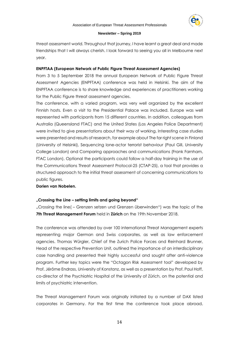threat assessment world. Throughout that journey, I have learnt a great deal and made friendships that I will always cherish. I look forward to seeing you all in Melbourne next year.

## **ENPFTAA (European Network of Public Figure Threat Assessment Agencies)**

From 3 to 5 September 2018 the annual European Network of Public Figure Threat Assessment Agencies (ENPFTAA) conference was held in Helsinki. The aim of the ENPFTAA conference is to share knowledge and experiences of practitioners working for the Public Figure threat assessment agencies.

The conference, with a varied program, was very well organized by the excellent Finnish hosts. Even a visit to the Presidential Palace was included. Europe was well represented with participants from 15 different countries. In addition, colleagues from Australia (Queensland FTAC) and the United States (Los Angeles Police Department) were invited to give presentations about their way of working. Interesting case studies were presented and results of research, for example about The far right scene in Finland (University of Helsinki), Sequencing lone-actor terrorist behaviour (Paul Gill, University College London) and Comparing approaches and communications (Frank Farnham, FTAC London). Optional the participants could follow a half-day training in the use of the Communications Threat Assessment Protocol-25 (CTAP-25), a tool that provides a structured approach to the initial threat assessment of concerning communications to public figures.

## **Dorien van Nobelen.**

# **"Crossing the Line – setting limits and going beyond"**

"Crossing the line( – Grenzen setzen und Grenzen überwinden") was the topic of the **7th Threat Management Forum** held in **Zürich** on the 19th November 2018.

The conference was attended by over 100 international Threat Management experts representing major German and Swiss corporates, as well as law enforcement agencies. Thomas Würgler, Chief of the Zurich Police Forces and Reinhard Brunner, Head of the respective Prevention Unit, outlined the importance of an interdisciplinary case handling and presented their highly successful and sought after anti-violence program. Further key topics were the "Octagon Risk Assessment tool" developed by Prof. Jérôme Endrass, University of Konstanz, as well as a presentation by Prof. Paul Hoff, co-director of the Psychiatric Hospital of the University of Zürich, on the potential and limits of psychiatric intervention.

The Threat Management Forum was originally initiated by a number of DAX listed corporates in Germany. For the first time the conference took place abroad,